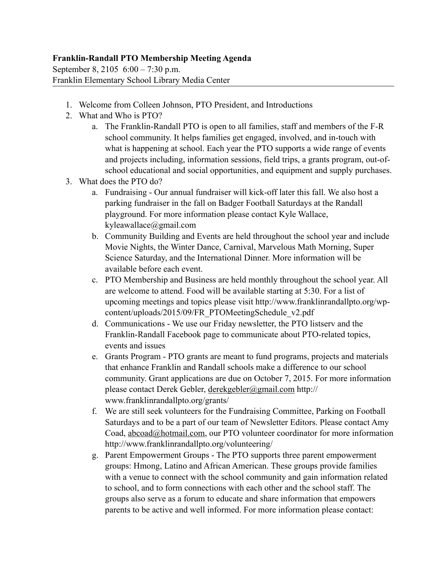## **Franklin-Randall PTO Membership Meeting Agenda**

September 8, 2105 6:00 – 7:30 p.m. Franklin Elementary School Library Media Center

- 1. Welcome from Colleen Johnson, PTO President, and Introductions
- 2. What and Who is PTO?
	- a. The Franklin-Randall PTO is open to all families, staff and members of the F-R school community. It helps families get engaged, involved, and in-touch with what is happening at school. Each year the PTO supports a wide range of events and projects including, information sessions, field trips, a grants program, out-ofschool educational and social opportunities, and equipment and supply purchases.
- 3. What does the PTO do?
	- a. Fundraising Our annual fundraiser will kick-off later this fall. We also host a parking fundraiser in the fall on Badger Football Saturdays at the Randall playground. For more information please contact Kyle Wallace, kyleawallace@gmail.com
	- b. Community Building and Events are held throughout the school year and include Movie Nights, the Winter Dance, Carnival, Marvelous Math Morning, Super Science Saturday, and the International Dinner. More information will be available before each event.
	- c. PTO Membership and Business are held monthly throughout the school year. All are welcome to attend. Food will be available starting at 5:30. For a list of upcoming meetings and topics please visit http://www.franklinrandallpto.org/wpcontent/uploads/2015/09/FR\_PTOMeetingSchedule\_v2.pdf
	- d. Communications We use our Friday newsletter, the PTO listserv and the Franklin-Randall Facebook page to communicate about PTO-related topics, events and issues
	- e. Grants Program PTO grants are meant to fund programs, projects and materials that enhance Franklin and Randall schools make a difference to our school community. Grant applications are due on October 7, 2015. For more information please contact Derek Gebler, [derekgebler@gmail.com](mailto:derekgebler@gmail.com) http:// www.franklinrandallpto.org/grants/
	- f. We are still seek volunteers for the Fundraising Committee, Parking on Football Saturdays and to be a part of our team of Newsletter Editors. Please contact Amy Coad, [abcoad@hotmail.com,](mailto:abcoad@hotmail.com) our PTO volunteer coordinator for more information http://www.franklinrandallpto.org/volunteering/
	- g. Parent Empowerment Groups The PTO supports three parent empowerment groups: Hmong, Latino and African American. These groups provide families with a venue to connect with the school community and gain information related to school, and to form connections with each other and the school staff. The groups also serve as a forum to educate and share information that empowers parents to be active and well informed. For more information please contact: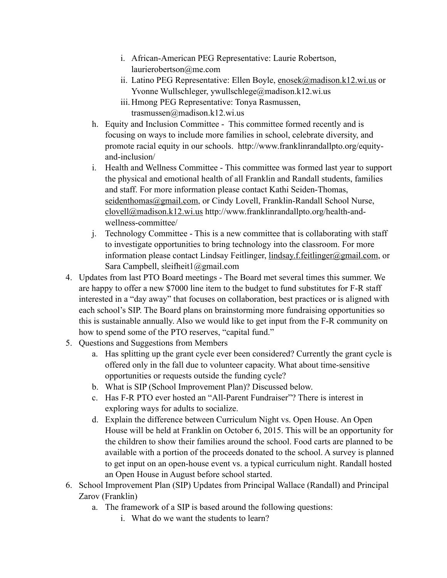- i. African-American PEG Representative: Laurie Robertson, laurierobertson@me.com
- ii. Latino PEG Representative: Ellen Boyle, [enosek@madison.k12.wi.us](mailto:enosek@madison.k12.wi.us) or Yvonne Wullschleger, ywullschlege@madison.k12.wi.us
- iii. Hmong PEG Representative: Tonya Rasmussen, trasmussen@madison.k12.wi.us
- h. Equity and Inclusion Committee This committee formed recently and is focusing on ways to include more families in school, celebrate diversity, and promote racial equity in our schools. http://www.franklinrandallpto.org/equityand-inclusion/
- i. Health and Wellness Committee This committee was formed last year to support the physical and emotional health of all Franklin and Randall students, families and staff. For more information please contact Kathi Seiden-Thomas, [seidenthomas@gmail.com](mailto:seidenthomas@gmail.com), or Cindy Lovell, Franklin-Randall School Nurse, [clovell@madison.k12.wi.us](mailto:clovell@madison.k12.wi.us) http://www.franklinrandallpto.org/health-andwellness-committee/
- j. Technology Committee This is a new committee that is collaborating with staff to investigate opportunities to bring technology into the classroom. For more information please contact Lindsay Feitlinger, [lindsay.f.feitlinger@gmail.com](mailto:lindsay.f.feitlinger@gmail.com), or Sara Campbell, sleifheit1@gmail.com
- 4. Updates from last PTO Board meetings The Board met several times this summer. We are happy to offer a new \$7000 line item to the budget to fund substitutes for F-R staff interested in a "day away" that focuses on collaboration, best practices or is aligned with each school's SIP. The Board plans on brainstorming more fundraising opportunities so this is sustainable annually. Also we would like to get input from the F-R community on how to spend some of the PTO reserves, "capital fund."
- 5. Questions and Suggestions from Members
	- a. Has splitting up the grant cycle ever been considered? Currently the grant cycle is offered only in the fall due to volunteer capacity. What about time-sensitive opportunities or requests outside the funding cycle?
	- b. What is SIP (School Improvement Plan)? Discussed below.
	- c. Has F-R PTO ever hosted an "All-Parent Fundraiser"? There is interest in exploring ways for adults to socialize.
	- d. Explain the difference between Curriculum Night vs. Open House. An Open House will be held at Franklin on October 6, 2015. This will be an opportunity for the children to show their families around the school. Food carts are planned to be available with a portion of the proceeds donated to the school. A survey is planned to get input on an open-house event vs. a typical curriculum night. Randall hosted an Open House in August before school started.
- 6. School Improvement Plan (SIP) Updates from Principal Wallace (Randall) and Principal Zarov (Franklin)
	- a. The framework of a SIP is based around the following questions:
		- i. What do we want the students to learn?